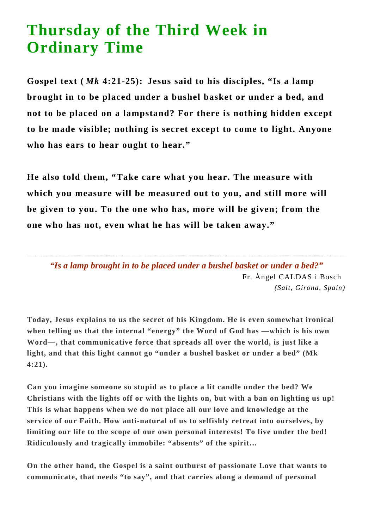## **Thursday of the Third Week in Ordinary Time**

**Gospel text (** *Mk* **4:21-25): Jesus said to his disciples, "Is a lamp brought in to be placed under a bushel basket or under a bed, and not to be placed on a lampstand? For there is nothing hidden except to be made visible; nothing is secret except to come to light. Anyone who has ears to hear ought to hear."**

**He also told them, "Take care what you hear. The measure with which you measure will be measured out to you, and still more will be given to you. To the one who has, more will be given; from the one who has not, even what he has will be taken away."**

*"Is a lamp brought in to be placed under a bushel basket or under a bed?"* Fr. Àngel CALDAS i Bosch *(Salt, Girona, Spain)*

**Today, Jesus explains to us the secret of his Kingdom. He is even somewhat ironical when telling us that the internal "energy" the Word of God has —which is his own Word—, that communicative force that spreads all over the world, is just like a light, and that this light cannot go "under a bushel basket or under a bed" (Mk 4:21).**

**Can you imagine someone so stupid as to place a lit candle under the bed? We Christians with the lights off or with the lights on, but with a ban on lighting us up! This is what happens when we do not place all our love and knowledge at the service of our Faith. How anti-natural of us to selfishly retreat into ourselves, by limiting our life to the scope of our own personal interests! To live under the bed! Ridiculously and tragically immobile: "absents" of the spirit…**

**On the other hand, the Gospel is a saint outburst of passionate Love that wants to communicate, that needs "to say", and that carries along a demand of personal**